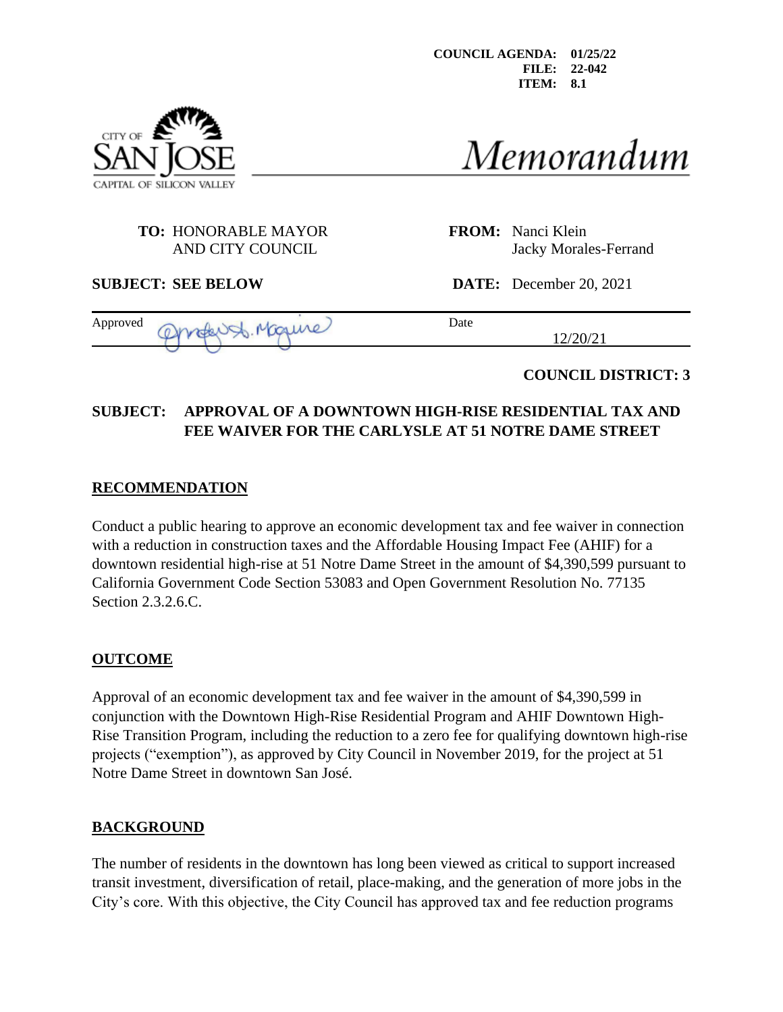

Memorandum

# **TO:** HONORABLE MAYOR **FROM:** Nanci Klein

AND CITY COUNCIL STATES AND CITY COUNCIL STATES AND SAMPLE STATES AND STATES AND STATES AND STATES AND STATES AND STATES AND STATES AND STATES AND STATES AND STATES AND STATES AND STATES AND STATES AND STATES AND STATES AN

**SUBJECT: SEE BELOW DATE:** December 20, 2021

12/20/21

Approved another St. Monume) Date

**COUNCIL DISTRICT: 3**

# **SUBJECT: APPROVAL OF A DOWNTOWN HIGH-RISE RESIDENTIAL TAX AND FEE WAIVER FOR THE CARLYSLE AT 51 NOTRE DAME STREET**

# **RECOMMENDATION**

Conduct a public hearing to approve an economic development tax and fee waiver in connection with a reduction in construction taxes and the Affordable Housing Impact Fee (AHIF) for a downtown residential high-rise at 51 Notre Dame Street in the amount of \$4,390,599 pursuant to California Government Code Section 53083 and Open Government Resolution No. 77135 Section 2.3.2.6.C.

# **OUTCOME**

Approval of an economic development tax and fee waiver in the amount of \$4,390,599 in conjunction with the Downtown High-Rise Residential Program and AHIF Downtown High-Rise Transition Program, including the reduction to a zero fee for qualifying downtown high-rise projects ("exemption"), as approved by City Council in November 2019, for the project at 51 Notre Dame Street in downtown San José.

# **BACKGROUND**

The number of residents in the downtown has long been viewed as critical to support increased transit investment, diversification of retail, place-making, and the generation of more jobs in the City's core. With this objective, the City Council has approved tax and fee reduction programs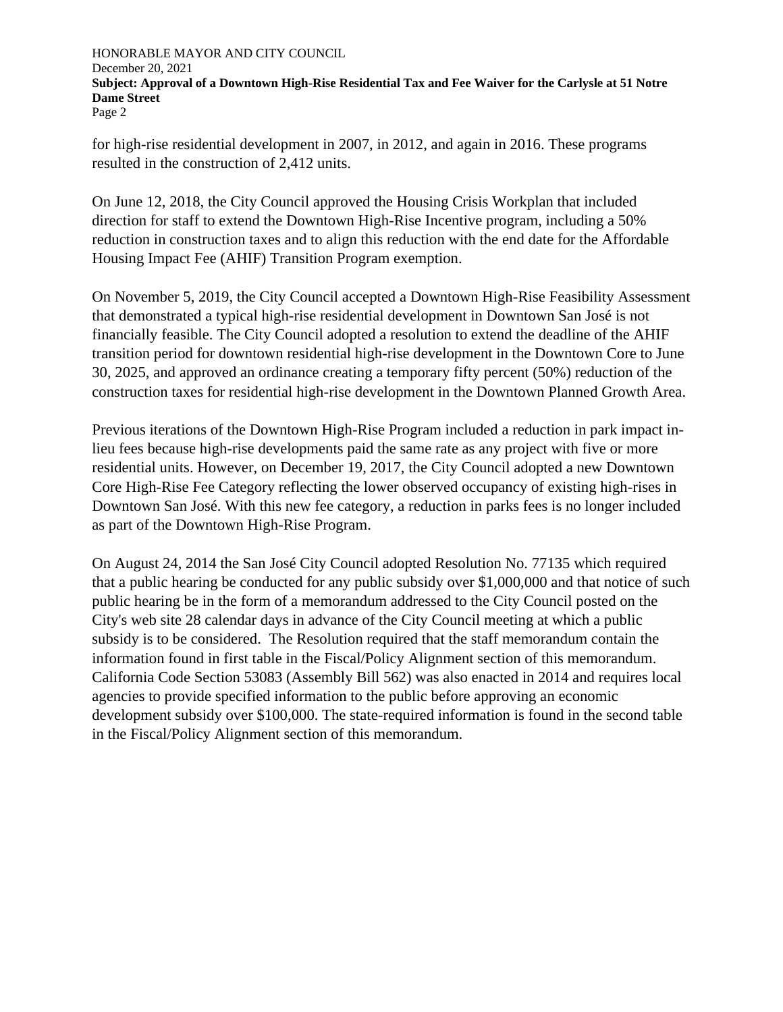for high-rise residential development in 2007, in 2012, and again in 2016. These programs resulted in the construction of 2,412 units.

On June 12, 2018, the City Council approved the Housing Crisis Workplan that included direction for staff to extend the Downtown High-Rise Incentive program, including a 50% reduction in construction taxes and to align this reduction with the end date for the Affordable Housing Impact Fee (AHIF) Transition Program exemption.

On November 5, 2019, the City Council accepted a Downtown High-Rise Feasibility Assessment that demonstrated a typical high-rise residential development in Downtown San José is not financially feasible. The City Council adopted a resolution to extend the deadline of the AHIF transition period for downtown residential high-rise development in the Downtown Core to June 30, 2025, and approved an ordinance creating a temporary fifty percent (50%) reduction of the construction taxes for residential high-rise development in the Downtown Planned Growth Area.

Previous iterations of the Downtown High-Rise Program included a reduction in park impact inlieu fees because high-rise developments paid the same rate as any project with five or more residential units. However, on December 19, 2017, the City Council adopted a new Downtown Core High-Rise Fee Category reflecting the lower observed occupancy of existing high-rises in Downtown San José. With this new fee category, a reduction in parks fees is no longer included as part of the Downtown High-Rise Program.

On August 24, 2014 the San José City Council adopted Resolution No. 77135 which required that a public hearing be conducted for any public subsidy over \$1,000,000 and that notice of such public hearing be in the form of a memorandum addressed to the City Council posted on the City's web site 28 calendar days in advance of the City Council meeting at which a public subsidy is to be considered. The Resolution required that the staff memorandum contain the information found in first table in the Fiscal/Policy Alignment section of this memorandum. California Code Section 53083 (Assembly Bill 562) was also enacted in 2014 and requires local agencies to provide specified information to the public before approving an economic development subsidy over \$100,000. The state-required information is found in the second table in the Fiscal/Policy Alignment section of this memorandum.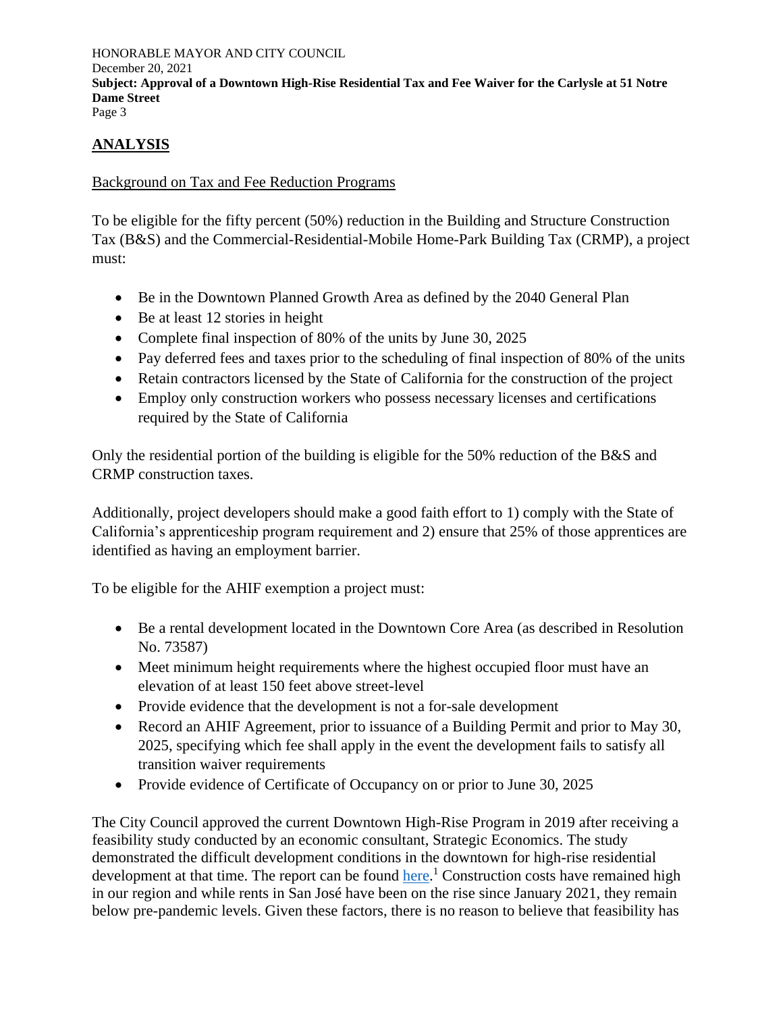## **ANALYSIS**

#### Background on Tax and Fee Reduction Programs

To be eligible for the fifty percent (50%) reduction in the Building and Structure Construction Tax (B&S) and the Commercial-Residential-Mobile Home-Park Building Tax (CRMP), a project must:

- Be in the Downtown Planned Growth Area as defined by the 2040 General Plan
- Be at least 12 stories in height
- Complete final inspection of 80% of the units by June 30, 2025
- Pay deferred fees and taxes prior to the scheduling of final inspection of 80% of the units
- Retain contractors licensed by the State of California for the construction of the project
- Employ only construction workers who possess necessary licenses and certifications required by the State of California

Only the residential portion of the building is eligible for the 50% reduction of the B&S and CRMP construction taxes.

Additionally, project developers should make a good faith effort to 1) comply with the State of California's apprenticeship program requirement and 2) ensure that 25% of those apprentices are identified as having an employment barrier.

To be eligible for the AHIF exemption a project must:

- Be a rental development located in the Downtown Core Area (as described in Resolution No. 73587)
- Meet minimum height requirements where the highest occupied floor must have an elevation of at least 150 feet above street-level
- Provide evidence that the development is not a for-sale development
- Record an AHIF Agreement, prior to issuance of a Building Permit and prior to May 30, 2025, specifying which fee shall apply in the event the development fails to satisfy all transition waiver requirements
- Provide evidence of Certificate of Occupancy on or prior to June 30, 2025

The City Council approved the current Downtown High-Rise Program in 2019 after receiving a feasibility study conducted by an economic consultant, Strategic Economics. The study demonstrated the difficult development conditions in the downtown for high-rise residential development at that time. The report can be found [here.](https://sanjose.legistar.com/View.ashx?M=F&ID=7709216&GUID=FD432D68-4153-46A9-BFE7-60EAF887660F)<sup>1</sup> Construction costs have remained high in our region and while rents in San José have been on the rise since January 2021, they remain below pre-pandemic levels. Given these factors, there is no reason to believe that feasibility has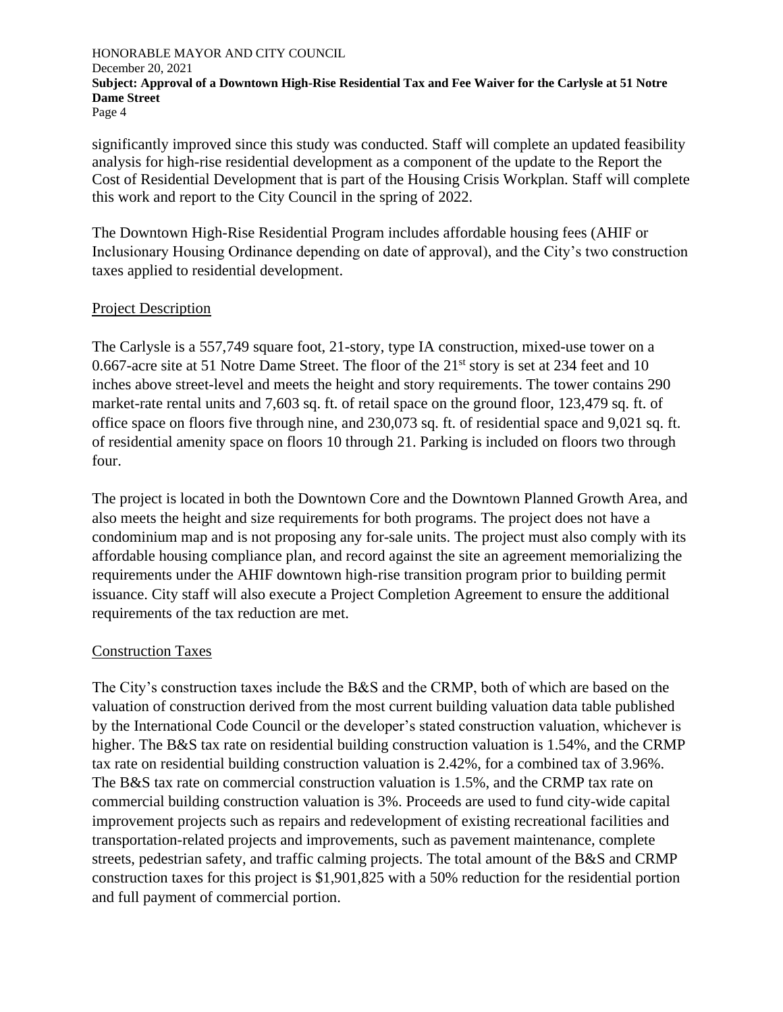significantly improved since this study was conducted. Staff will complete an updated feasibility analysis for high-rise residential development as a component of the update to the Report the Cost of Residential Development that is part of the Housing Crisis Workplan. Staff will complete this work and report to the City Council in the spring of 2022.

The Downtown High-Rise Residential Program includes affordable housing fees (AHIF or Inclusionary Housing Ordinance depending on date of approval), and the City's two construction taxes applied to residential development.

#### Project Description

The Carlysle is a 557,749 square foot, 21-story, type IA construction, mixed-use tower on a 0.667-acre site at 51 Notre Dame Street. The floor of the 21<sup>st</sup> story is set at 234 feet and 10 inches above street-level and meets the height and story requirements. The tower contains 290 market-rate rental units and 7,603 sq. ft. of retail space on the ground floor, 123,479 sq. ft. of office space on floors five through nine, and 230,073 sq. ft. of residential space and 9,021 sq. ft. of residential amenity space on floors 10 through 21. Parking is included on floors two through four.

The project is located in both the Downtown Core and the Downtown Planned Growth Area, and also meets the height and size requirements for both programs. The project does not have a condominium map and is not proposing any for-sale units. The project must also comply with its affordable housing compliance plan, and record against the site an agreement memorializing the requirements under the AHIF downtown high-rise transition program prior to building permit issuance. City staff will also execute a Project Completion Agreement to ensure the additional requirements of the tax reduction are met.

#### Construction Taxes

The City's construction taxes include the B&S and the CRMP, both of which are based on the valuation of construction derived from the most current building valuation data table published by the International Code Council or the developer's stated construction valuation, whichever is higher. The B&S tax rate on residential building construction valuation is 1.54%, and the CRMP tax rate on residential building construction valuation is 2.42%, for a combined tax of 3.96%. The B&S tax rate on commercial construction valuation is 1.5%, and the CRMP tax rate on commercial building construction valuation is 3%. Proceeds are used to fund city-wide capital improvement projects such as repairs and redevelopment of existing recreational facilities and transportation-related projects and improvements, such as pavement maintenance, complete streets, pedestrian safety, and traffic calming projects. The total amount of the B&S and CRMP construction taxes for this project is \$1,901,825 with a 50% reduction for the residential portion and full payment of commercial portion.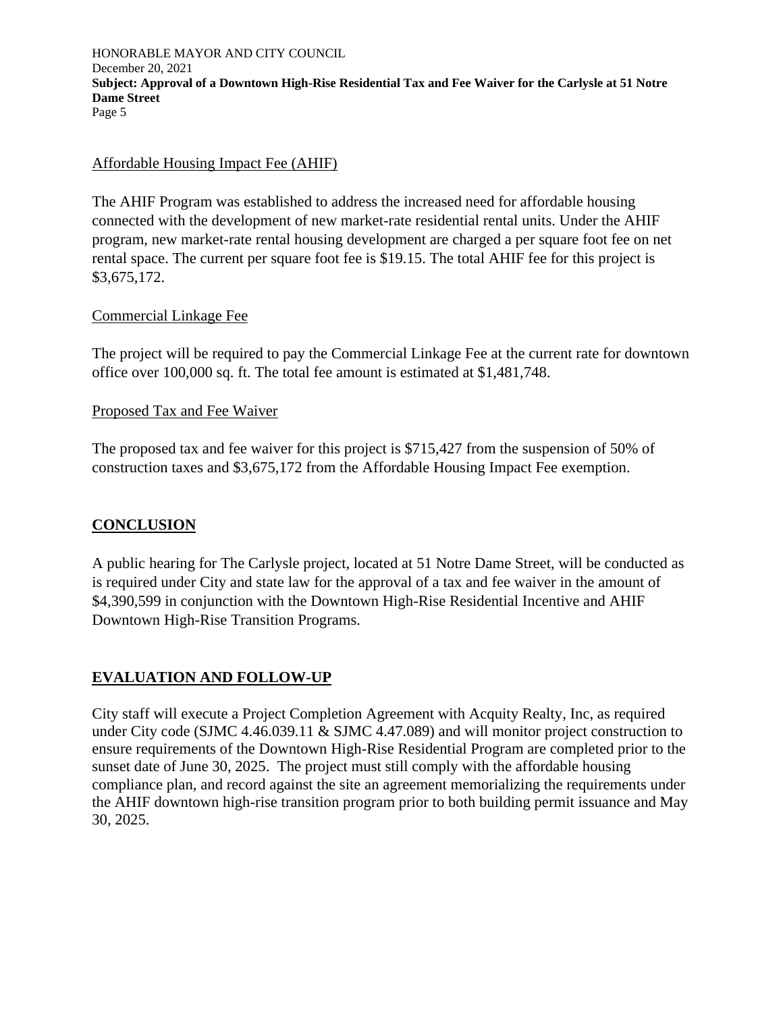#### Affordable Housing Impact Fee (AHIF)

The AHIF Program was established to address the increased need for affordable housing connected with the development of new market-rate residential rental units. Under the AHIF program, new market-rate rental housing development are charged a per square foot fee on net rental space. The current per square foot fee is \$19.15. The total AHIF fee for this project is \$3,675,172.

#### Commercial Linkage Fee

The project will be required to pay the Commercial Linkage Fee at the current rate for downtown office over 100,000 sq. ft. The total fee amount is estimated at \$1,481,748.

#### Proposed Tax and Fee Waiver

The proposed tax and fee waiver for this project is \$715,427 from the suspension of 50% of construction taxes and \$3,675,172 from the Affordable Housing Impact Fee exemption.

#### **CONCLUSION**

A public hearing for The Carlysle project, located at 51 Notre Dame Street, will be conducted as is required under City and state law for the approval of a tax and fee waiver in the amount of \$4,390,599 in conjunction with the Downtown High-Rise Residential Incentive and AHIF Downtown High-Rise Transition Programs.

#### **EVALUATION AND FOLLOW-UP**

City staff will execute a Project Completion Agreement with Acquity Realty, Inc, as required under City code (SJMC 4.46.039.11 & SJMC 4.47.089) and will monitor project construction to ensure requirements of the Downtown High-Rise Residential Program are completed prior to the sunset date of June 30, 2025. The project must still comply with the affordable housing compliance plan, and record against the site an agreement memorializing the requirements under the AHIF downtown high-rise transition program prior to both building permit issuance and May 30, 2025.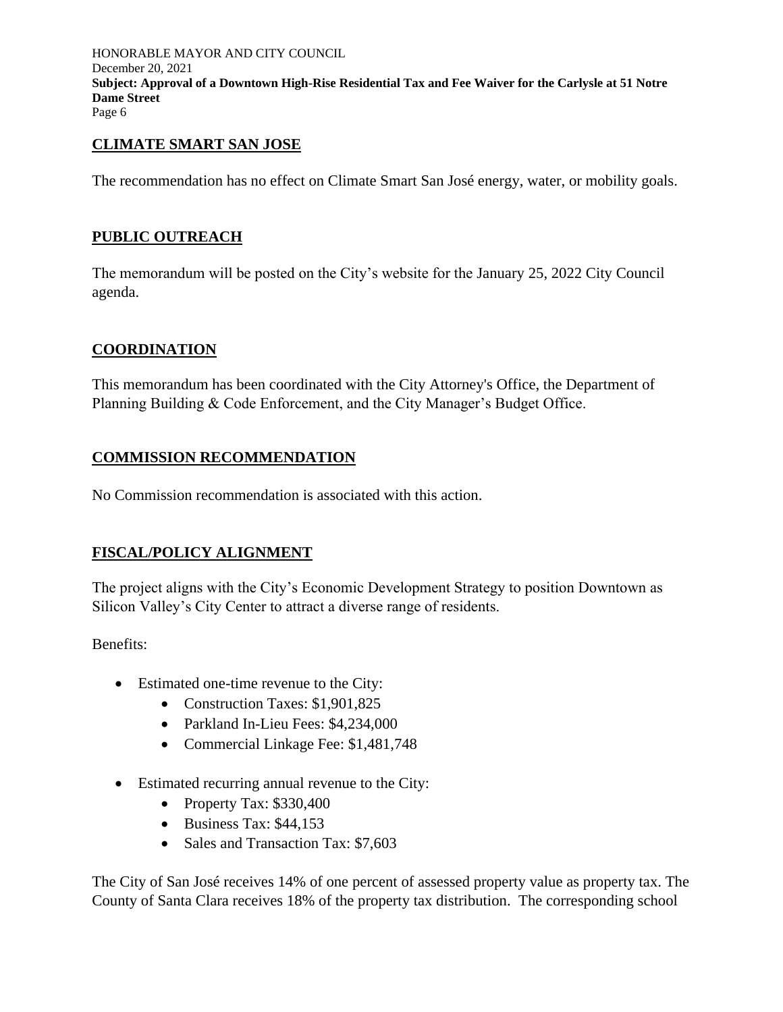#### **CLIMATE SMART SAN JOSE**

The recommendation has no effect on Climate Smart San José energy, water, or mobility goals.

### **PUBLIC OUTREACH**

The memorandum will be posted on the City's website for the January 25, 2022 City Council agenda.

#### **COORDINATION**

This memorandum has been coordinated with the City Attorney's Office, the Department of Planning Building & Code Enforcement, and the City Manager's Budget Office.

### **COMMISSION RECOMMENDATION**

No Commission recommendation is associated with this action.

#### **FISCAL/POLICY ALIGNMENT**

The project aligns with the City's Economic Development Strategy to position Downtown as Silicon Valley's City Center to attract a diverse range of residents.

Benefits:

- Estimated one-time revenue to the City:
	- Construction Taxes: \$1,901,825
	- Parkland In-Lieu Fees: \$4,234,000
	- Commercial Linkage Fee: \$1,481,748
- Estimated recurring annual revenue to the City:
	- Property Tax: \$330,400
	- Business Tax: \$44,153
	- Sales and Transaction Tax: \$7,603

The City of San José receives 14% of one percent of assessed property value as property tax. The County of Santa Clara receives 18% of the property tax distribution. The corresponding school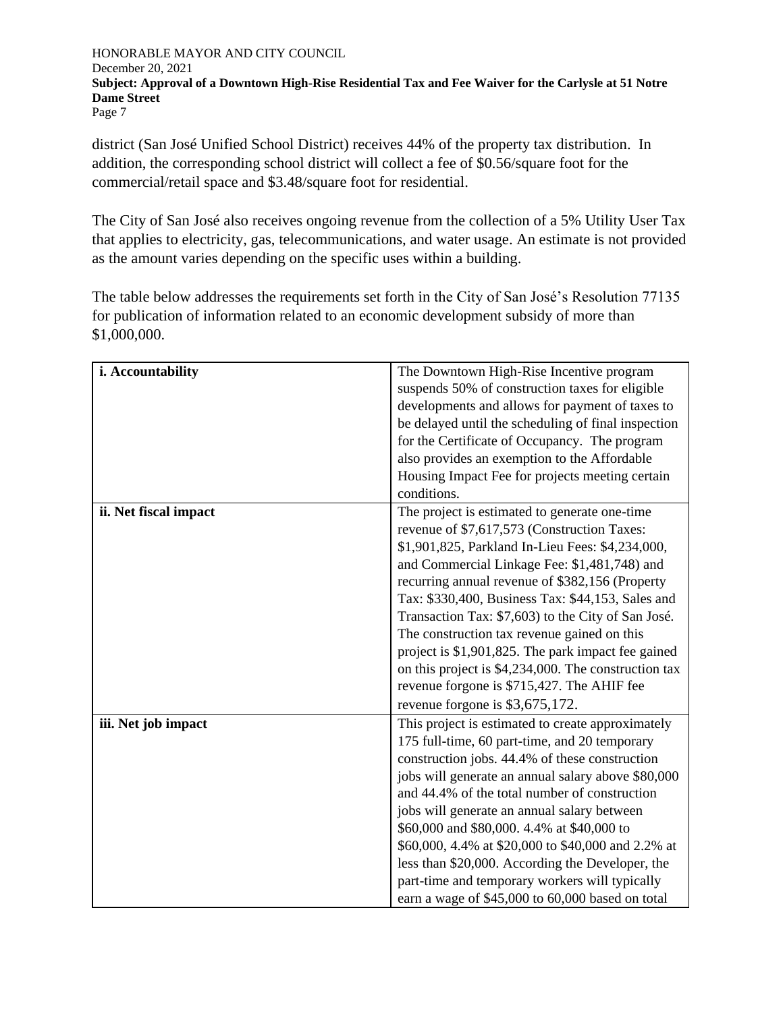district (San José Unified School District) receives 44% of the property tax distribution. In addition, the corresponding school district will collect a fee of \$0.56/square foot for the commercial/retail space and \$3.48/square foot for residential.

The City of San José also receives ongoing revenue from the collection of a 5% Utility User Tax that applies to electricity, gas, telecommunications, and water usage. An estimate is not provided as the amount varies depending on the specific uses within a building.

The table below addresses the requirements set forth in the City of San José's Resolution 77135 for publication of information related to an economic development subsidy of more than \$1,000,000.

| i. Accountability     | The Downtown High-Rise Incentive program             |
|-----------------------|------------------------------------------------------|
|                       | suspends 50% of construction taxes for eligible      |
|                       | developments and allows for payment of taxes to      |
|                       |                                                      |
|                       | be delayed until the scheduling of final inspection  |
|                       | for the Certificate of Occupancy. The program        |
|                       | also provides an exemption to the Affordable         |
|                       | Housing Impact Fee for projects meeting certain      |
|                       | conditions.                                          |
| ii. Net fiscal impact | The project is estimated to generate one-time        |
|                       | revenue of \$7,617,573 (Construction Taxes:          |
|                       | \$1,901,825, Parkland In-Lieu Fees: \$4,234,000,     |
|                       | and Commercial Linkage Fee: \$1,481,748) and         |
|                       | recurring annual revenue of \$382,156 (Property      |
|                       | Tax: \$330,400, Business Tax: \$44,153, Sales and    |
|                       | Transaction Tax: \$7,603) to the City of San José.   |
|                       | The construction tax revenue gained on this          |
|                       | project is \$1,901,825. The park impact fee gained   |
|                       | on this project is \$4,234,000. The construction tax |
|                       | revenue forgone is \$715,427. The AHIF fee           |
|                       | revenue forgone is \$3,675,172.                      |
| iii. Net job impact   | This project is estimated to create approximately    |
|                       | 175 full-time, 60 part-time, and 20 temporary        |
|                       | construction jobs. 44.4% of these construction       |
|                       | jobs will generate an annual salary above \$80,000   |
|                       | and 44.4% of the total number of construction        |
|                       | jobs will generate an annual salary between          |
|                       | \$60,000 and \$80,000. 4.4% at \$40,000 to           |
|                       | \$60,000, 4.4% at \$20,000 to \$40,000 and 2.2% at   |
|                       | less than \$20,000. According the Developer, the     |
|                       | part-time and temporary workers will typically       |
|                       | earn a wage of \$45,000 to 60,000 based on total     |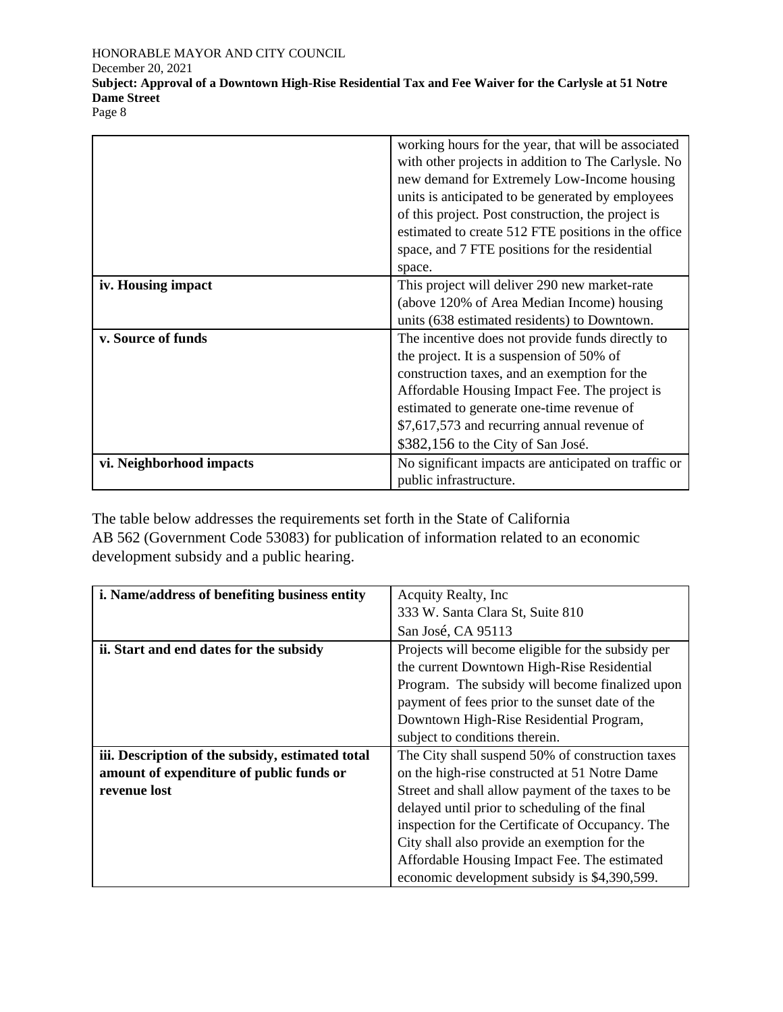#### HONORABLE MAYOR AND CITY COUNCIL

December 20, 2021

**Subject: Approval of a Downtown High-Rise Residential Tax and Fee Waiver for the Carlysle at 51 Notre Dame Street**

Page 8

|                          | working hours for the year, that will be associated  |
|--------------------------|------------------------------------------------------|
|                          | with other projects in addition to The Carlysle. No  |
|                          | new demand for Extremely Low-Income housing          |
|                          | units is anticipated to be generated by employees    |
|                          | of this project. Post construction, the project is   |
|                          | estimated to create 512 FTE positions in the office  |
|                          | space, and 7 FTE positions for the residential       |
|                          | space.                                               |
| iv. Housing impact       | This project will deliver 290 new market-rate        |
|                          | (above 120% of Area Median Income) housing           |
|                          | units (638 estimated residents) to Downtown.         |
| v. Source of funds       | The incentive does not provide funds directly to     |
|                          | the project. It is a suspension of 50% of            |
|                          | construction taxes, and an exemption for the         |
|                          | Affordable Housing Impact Fee. The project is        |
|                          | estimated to generate one-time revenue of            |
|                          | \$7,617,573 and recurring annual revenue of          |
|                          | \$382,156 to the City of San José.                   |
| vi. Neighborhood impacts | No significant impacts are anticipated on traffic or |
|                          | public infrastructure.                               |

The table below addresses the requirements set forth in the State of California AB 562 (Government Code 53083) for publication of information related to an economic development subsidy and a public hearing.

| i. Name/address of benefiting business entity    | Acquity Realty, Inc.                              |
|--------------------------------------------------|---------------------------------------------------|
|                                                  | 333 W. Santa Clara St, Suite 810                  |
|                                                  | San José, CA 95113                                |
| ii. Start and end dates for the subsidy          | Projects will become eligible for the subsidy per |
|                                                  | the current Downtown High-Rise Residential        |
|                                                  | Program. The subsidy will become finalized upon   |
|                                                  | payment of fees prior to the sunset date of the   |
|                                                  | Downtown High-Rise Residential Program,           |
|                                                  | subject to conditions therein.                    |
| iii. Description of the subsidy, estimated total | The City shall suspend 50% of construction taxes  |
| amount of expenditure of public funds or         | on the high-rise constructed at 51 Notre Dame     |
| revenue lost                                     | Street and shall allow payment of the taxes to be |
|                                                  | delayed until prior to scheduling of the final    |
|                                                  | inspection for the Certificate of Occupancy. The  |
|                                                  | City shall also provide an exemption for the      |
|                                                  | Affordable Housing Impact Fee. The estimated      |
|                                                  | economic development subsidy is \$4,390,599.      |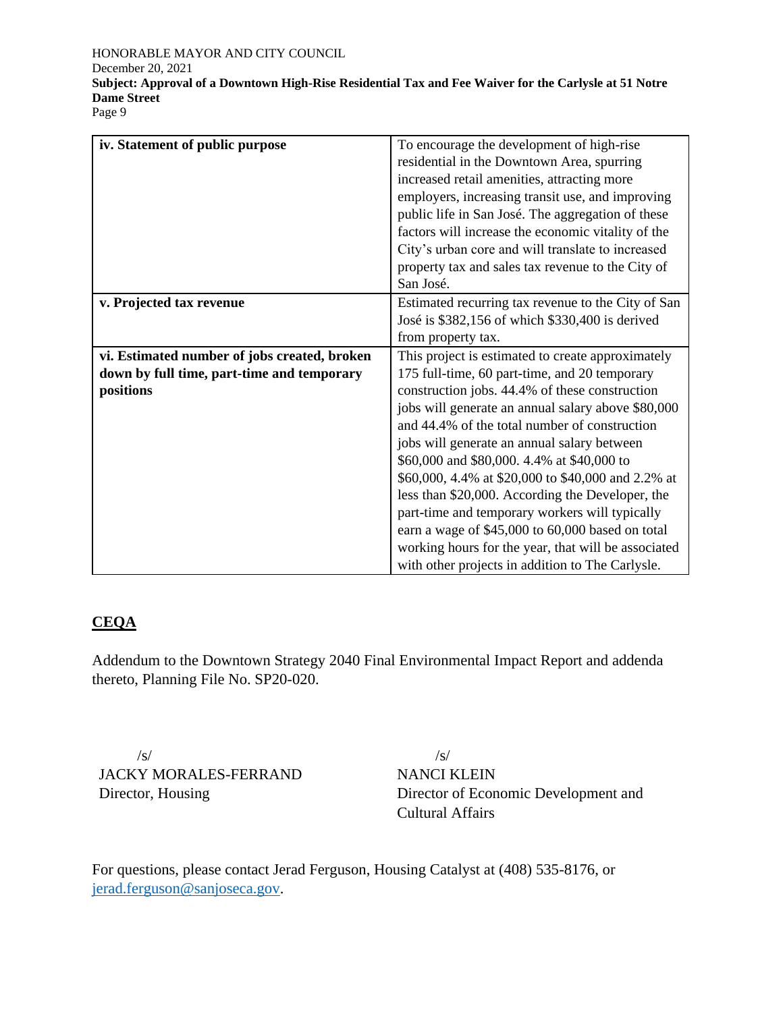Page 9

| iv. Statement of public purpose              | To encourage the development of high-rise           |
|----------------------------------------------|-----------------------------------------------------|
|                                              | residential in the Downtown Area, spurring          |
|                                              | increased retail amenities, attracting more         |
|                                              | employers, increasing transit use, and improving    |
|                                              | public life in San José. The aggregation of these   |
|                                              | factors will increase the economic vitality of the  |
|                                              | City's urban core and will translate to increased   |
|                                              | property tax and sales tax revenue to the City of   |
|                                              | San José.                                           |
| v. Projected tax revenue                     | Estimated recurring tax revenue to the City of San  |
|                                              | José is \$382,156 of which \$330,400 is derived     |
|                                              | from property tax.                                  |
| vi. Estimated number of jobs created, broken | This project is estimated to create approximately   |
| down by full time, part-time and temporary   | 175 full-time, 60 part-time, and 20 temporary       |
| positions                                    | construction jobs. 44.4% of these construction      |
|                                              | jobs will generate an annual salary above \$80,000  |
|                                              | and 44.4% of the total number of construction       |
|                                              | jobs will generate an annual salary between         |
|                                              | \$60,000 and \$80,000. 4.4% at \$40,000 to          |
|                                              | \$60,000, 4.4% at \$20,000 to \$40,000 and 2.2% at  |
|                                              | less than \$20,000. According the Developer, the    |
|                                              | part-time and temporary workers will typically      |
|                                              | earn a wage of \$45,000 to 60,000 based on total    |
|                                              | working hours for the year, that will be associated |
|                                              | with other projects in addition to The Carlysle.    |

#### **CEQA**

Addendum to the Downtown Strategy 2040 Final Environmental Impact Report and addenda thereto, Planning File No. SP20-020.

 /s/ JACKY MORALES-FERRAND Director, Housing

 /s/ NANCI KLEIN Director of Economic Development and Cultural Affairs

For questions, please contact Jerad Ferguson, Housing Catalyst at (408) 535-8176, or [jerad.ferguson@sanjoseca.gov.](mailto:jerad.ferguson@sanjoseca.gov)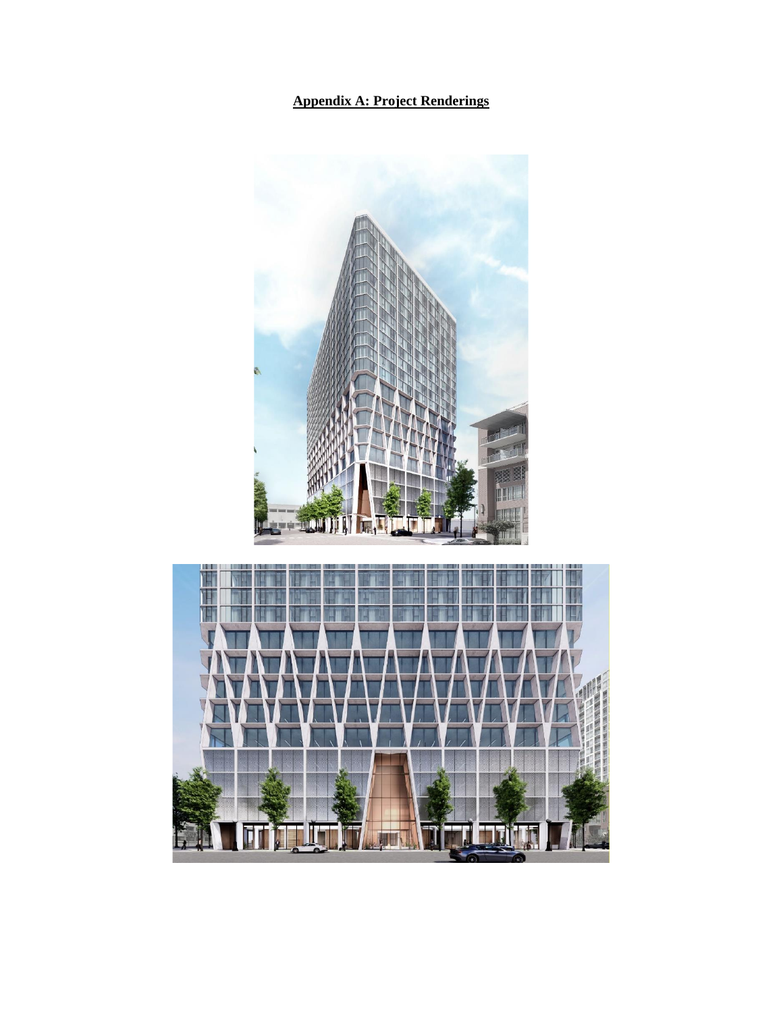## **Appendix A: Project Renderings**